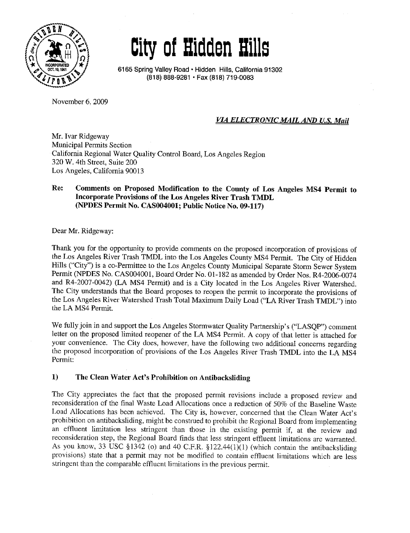

# City of Hidden Bils

6165 Spring Valley Road' Hidden Hils, California 91302 (818) 888-9281 . Fax (818) 719-0083

November 6, 2009

# VIA ELECTRONIC MAIL AND U.S. Mail

Mr. Ivar Ridgeway Municipal Permits Section California Regional Water Quality Control Board, Los Angeles Region 320 W. 4th Street, Suite 200 Los Angeles, California 90013

### Re: Comments on Proposed Modifcation to the County of Los Angeles MS4 Permit to Incorporate Provisions of the Los Angeles River Trash TMDL (NPDES Permit No. CAS004001; Public Notice No. 09.117)

Dear Mr. Ridgeway:

Thank you for the opportunity to provide comments on the proposed incorporation of provisions of the Los Angeles River Trash TMDL into the Los Angeles County MS4 Pennt. The City of Hidden Hills ("City") is a co-Permittee to the Los Angeles County Municipal Separate Storm Sewer System Permit (NPDES No. CAS004001, Board Order No. 01-182 as amended by Order Nos. R4-2006-0074 and R4-2007-0042) (LA MS4 Permit) and is a City located in the Los Angeles River Watershed. The City understands that the Board proposes to reopen the permit to incorporate the provisions of the Los Angeles River Watershed Trash Total Maximum Daily Load ("LA River Trash TMDL") into the LA MS4 Permt.

We fully join in and support the Los Angeles Stormwater Quality Partnership's ("LASQP") comment letter on the proposed limited reopener of the LA MS4 Permit. A copy of that letter is attached for your convenience. The City does, however, have the following two additional concerns regarding the proposed incorporation of provisions of the Los Angeles River Trash TMDL into the LA MS4 Permit:

#### $\bf{1}$ The Clean Water Act's Prohibition on Antibacksliding

The City appreciates the fact that the proposed permit revisions include a proposed review and reconsideration of the final Waste Load Allocations once a reduction of 50% of the Baseline Waste Load Allocations has been achieved. The City is, however, concerned that the Clean Water Act's prohibition on antibacksliding, might be construed to prohibit the Regional Board from implementing an effuent limitation less stringent than those in the existing permit if, at the review and reconsideration step, the Regional Board finds that less stringent effluent limitations are warranted. As you know, 33 USC §1342 (o) and 40 C.F.R. §122.44(1)(1) (which contain the antibacksliding provisions) state that a permit may not be modified to contain effuent limitations which are less stringent than the comparable effuent limitations in the previous permit.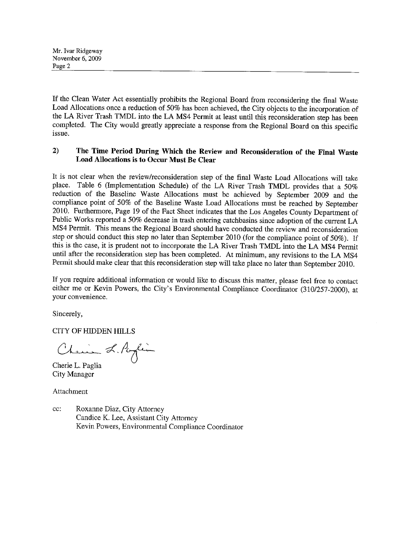If the Clean Water Act essentially prohibits the Regional Board from reconsidering the final Waste Load Allocations once a reduction of 50% has been achieved, the City objects to the incorporation of the LA River Trash TMDL into the LA MS4 Permit at least until this reconsideration step has been completed. The City would greatly appreciate a response from the Regional Board on this specific issue.

#### $2)$ The Time Period During Which the Review and Reconsideration of the Final Waste Load Allocations is to Occur Must Be Clear

It is not clear when the review/reconsideration step of the final Waste Load Allocations wiI take place. Table 6 (Implementation Schedule) of the LA River Trash TMDL provides that a 50% reduction of the Baseline Waste Allocations must be achieved by September 2009 and the compliance point of 50% of the Baseline Waste Load Allocations must be reached by September 2010. Furthermore, Page 19 of the Fact Sheet indicates that the Los Angeles County Department of Public Works reported a 50% decrease in trash entering catchbasins since adoption of the current LA MS4 Permt. This means the Regional Board should have conducted the review and reconsideration step or should conduct this step no later than September 2010 (for the compliance point of 50%). If this is the case, it is prudent not to incorporate the LA River Trash TMDL into the LA MS4 Permt until after the reconsideration step has been completed. At minimum, any revisions to the LA MS4 Permit should make clear that this reconsideration step will take place no later than September 2010.

If you require additional information or would like to discuss this matter, please feel free to contact either me or Kevin Powers, the City's Environmental Compliance Coordinator (310/257-2000), at your convenience.

Sincerely,

CITY OF HIDDEN HILLS

Chain L. Paglia

Cherie L. Paglia City Manager

Attachment

cc: Roxanne Diaz, City Attorney Candice K. Lee, Assistant City Attorney Kevin Powers, Environmental Compliance Coordinator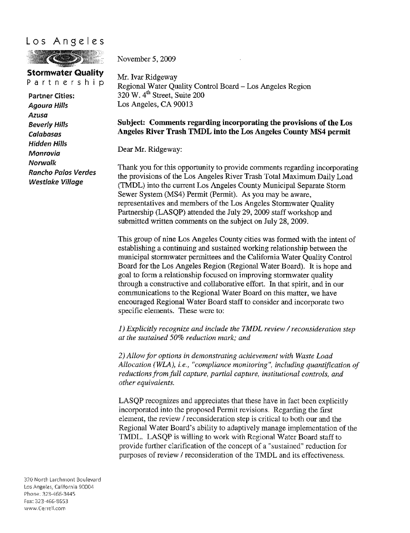# Los Angeles



November 5, 2009

**Stormwater Quality**<br>Partnership

Partner Cities: Agoura Hils Azusa Beverly Hils Calabasas Hidden Hils Monrovia Norwalk Rancho Palos Verdes Westlake Village

Mr. Ivar Ridgeway Regional Water Quality Control Board - Los Angeles Region  $320$  W.  $4<sup>th</sup>$  Street, Suite 200 Los Angeles, CA 90013

## Subject: Comments regarding incorporating the provisions of the Los Angeles River Trash TMDL into the Los Angeles County MS4 permit

Dear Mr. Ridgeway:

Thank you for this opportunity to provide comments regarding incorporating the provisions of the Los Angeles River Trash Total Maximum Daily Load (TMDL) into the current Los Angeles County Municipal Separate Storm Sewer System (MS4) Permit (Permit). As you may be aware, representatives and members of the Los Angeles Stormwater Quality Partnership (LASQP) attended the July 29, 2009 staff workshop and submitted written comments on the subject on July 28, 2009.

This group of nine Los Angeles County cities was formed with the intent of establishing a continuing and sustained working relationship between the municipal stormwater permittees and the California Water Quality Control Board for the Los Angeles Region (Regional Water Board). It is hope and goal to form a relationship focused on improving stonnwater quality through a constructive and collaborative effort. In that spirit, and in our communications to the Regional Water Board on this matter, we have encouraged Regional Water Board staff to consider and incorporate two specific elements. These were to:

1) Explicitly recognize and include the TMDL review / reconsideration step at the sustained 50% reduction mark; and

2) Allow for options in demonstrating achievement with Waste Load Allocation (WLA), i.e., "compliance monitoring", including quantification of reductions from full capture, partial capture, institutional controls, and other equivalents.

LASQP recognizes and appreciates that these have in fact been explicitly incorporated into the proposed Permit revisions. Regarding the first element, the review / reconsideration step is critical to both our and the Regional Water Board's ability to adaptively manage implementation of the TMDL. LASQP is wiling to work with Regional Water Board staff to provide further clarification of the concept of a " sustained" reduction for purposes of review / reconsideration of the TMDL and its effectiveness.

320 North Larchmont Boulevard Los Angeles, California 90004 Phone: 323-466-3445 Fax: 323-466-8553 www-Cerrell.com